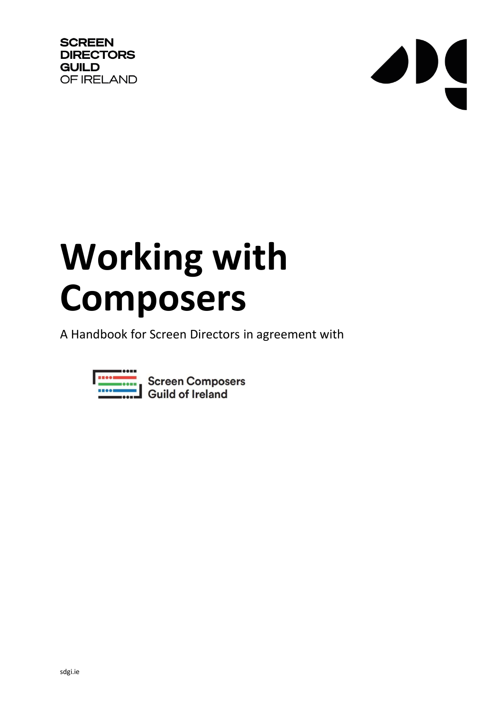**SCREEN DIRECTORS GUILD** OF IRELAND



# **Working with Composers**

A Handbook for Screen Directors in agreement with

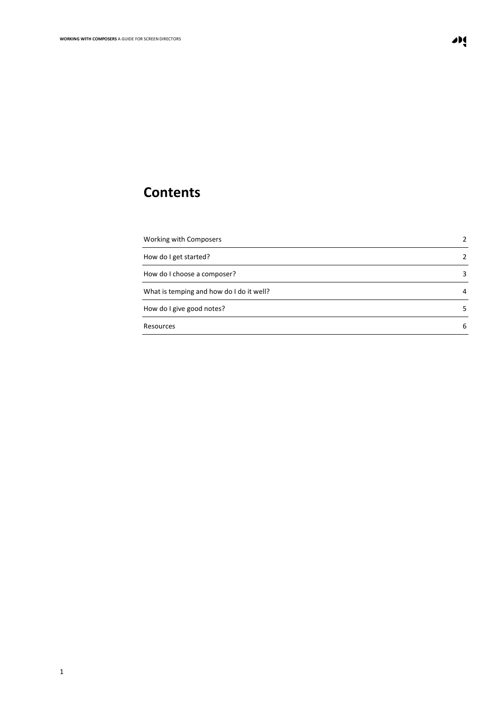# **Contents**

| <b>Working with Composers</b>            | 2  |
|------------------------------------------|----|
| How do I get started?                    | 2  |
| How do I choose a composer?              | 3  |
| What is temping and how do I do it well? | 4  |
| How do I give good notes?                | 5. |
| Resources                                | 6  |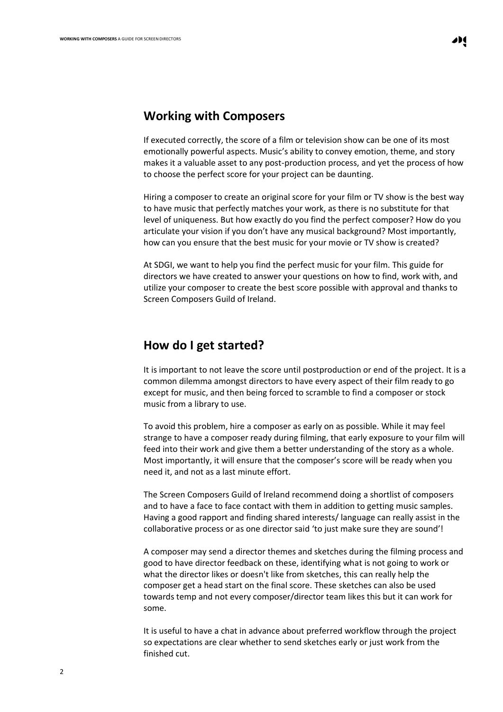#### **Working with Composers**

If executed correctly, the score of a film or television show can be one of its most emotionally powerful aspects. Music's ability to convey emotion, theme, and story makes it a valuable asset to any post-production process, and yet the process of how to choose the perfect score for your project can be daunting.

Hiring a composer to create an original score for your film or TV show is the best way to have music that perfectly matches your work, as there is no substitute for that level of uniqueness. But how exactly do you find the perfect composer? How do you articulate your vision if you don't have any musical background? Most importantly, how can you ensure that the best music for your movie or TV show is created?

At SDGI, we want to help you find the perfect music for your film. This guide for directors we have created to answer your questions on how to find, work with, and utilize your composer to create the best score possible with approval and thanks to Screen Composers Guild of Ireland.

### **How do I get started?**

It is important to not leave the score until postproduction or end of the project. It is a common dilemma amongst directors to have every aspect of their film ready to go except for music, and then being forced to scramble to find a composer or stock music from a library to use.

To avoid this problem, hire a composer as early on as possible. While it may feel strange to have a composer ready during filming, that early exposure to your film will feed into their work and give them a better understanding of the story as a whole. Most importantly, it will ensure that the composer's score will be ready when you need it, and not as a last minute effort.

The Screen Composers Guild of Ireland recommend doing a shortlist of composers and to have a face to face contact with them in addition to getting music samples. Having a good rapport and finding shared interests/ language can really assist in the collaborative process or as one director said 'to just make sure they are sound'!

A composer may send a director themes and sketches during the filming process and good to have director feedback on these, identifying what is not going to work or what the director likes or doesn't like from sketches, this can really help the composer get a head start on the final score. These sketches can also be used towards temp and not every composer/director team likes this but it can work for some.

It is useful to have a chat in advance about preferred workflow through the project so expectations are clear whether to send sketches early or just work from the finished cut.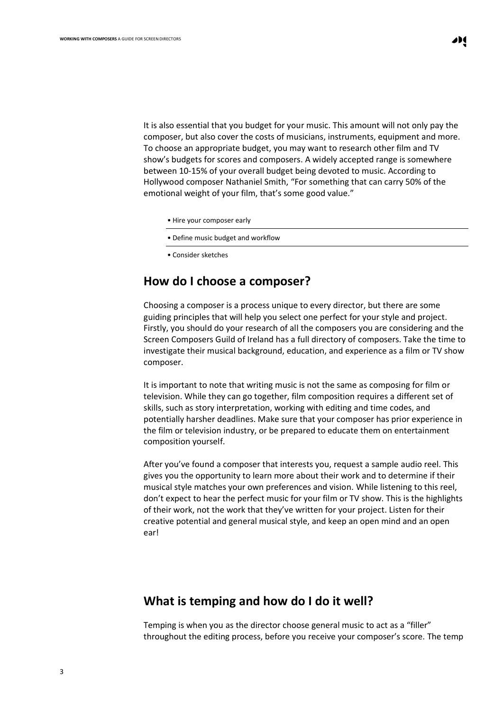It is also essential that you budget for your music. This amount will not only pay the composer, but also cover the costs of musicians, instruments, equipment and more. To choose an appropriate budget, you may want to research other film and TV show's budgets for scores and composers. A widely accepted range is somewhere between 10-15% of your overall budget being devoted to music. According to Hollywood composer Nathaniel Smith, "For something that can carry 50% of the emotional weight of your film, that's some good value."

- Hire your composer early
- Define music budget and workflow
- Consider sketches

# **How do I choose a composer?**

Choosing a composer is a process unique to every director, but there are some guiding principles that will help you select one perfect for your style and project. Firstly, you should do your research of all the composers you are considering and the Screen Composers Guild of Ireland has a full directory of composers. Take the time to investigate their musical background, education, and experience as a film or TV show composer.

It is important to note that writing music is not the same as composing for film or television. While they can go together, film composition requires a different set of skills, such as story interpretation, working with editing and time codes, and potentially harsher deadlines. Make sure that your composer has prior experience in the film or television industry, or be prepared to educate them on entertainment composition yourself.

After you've found a composer that interests you, request a sample audio reel. This gives you the opportunity to learn more about their work and to determine if their musical style matches your own preferences and vision. While listening to this reel, don't expect to hear the perfect music for your film or TV show. This is the highlights of their work, not the work that they've written for your project. Listen for their creative potential and general musical style, and keep an open mind and an open ear!

# **What is temping and how do I do it well?**

Temping is when you as the director choose general music to act as a "filler" throughout the editing process, before you receive your composer's score. The temp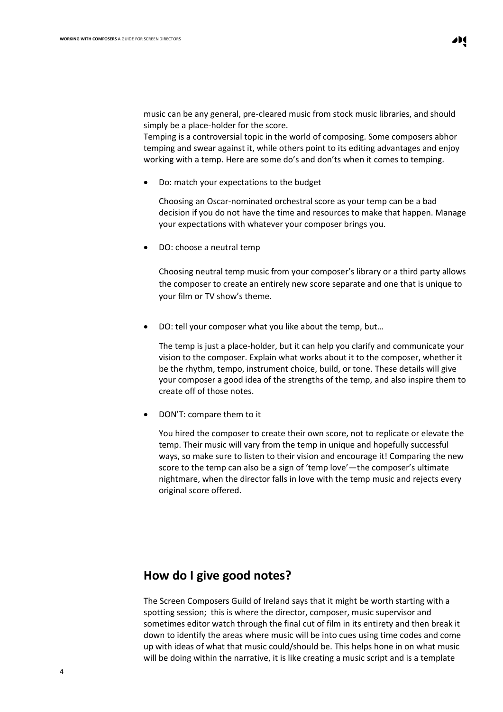music can be any general, pre-cleared music from stock music libraries, and should simply be a place-holder for the score.

Temping is a controversial topic in the world of composing. Some composers abhor temping and swear against it, while others point to its editing advantages and enjoy working with a temp. Here are some do's and don'ts when it comes to temping.

• Do: match your expectations to the budget

Choosing an Oscar-nominated orchestral score as your temp can be a bad decision if you do not have the time and resources to make that happen. Manage your expectations with whatever your composer brings you.

• DO: choose a neutral temp

Choosing neutral temp music from your composer's library or a third party allows the composer to create an entirely new score separate and one that is unique to your film or TV show's theme.

• DO: tell your composer what you like about the temp, but…

The temp is just a place-holder, but it can help you clarify and communicate your vision to the composer. Explain what works about it to the composer, whether it be the rhythm, tempo, instrument choice, build, or tone. These details will give your composer a good idea of the strengths of the temp, and also inspire them to create off of those notes.

• DON'T: compare them to it

You hired the composer to create their own score, not to replicate or elevate the temp. Their music will vary from the temp in unique and hopefully successful ways, so make sure to listen to their vision and encourage it! Comparing the new score to the temp can also be a sign of 'temp love'—the composer's ultimate nightmare, when the director falls in love with the temp music and rejects every original score offered.

## <span id="page-4-0"></span>**How do I give good notes?**

The Screen Composers Guild of Ireland says that it might be worth starting with a spotting session; this is where the director, composer, music supervisor and sometimes editor watch through the final cut of film in its entirety and then break it down to identify the areas where music will be into cues using time codes and come up with ideas of what that music could/should be. This helps hone in on what music will be doing within the narrative, it is like creating a music script and is a template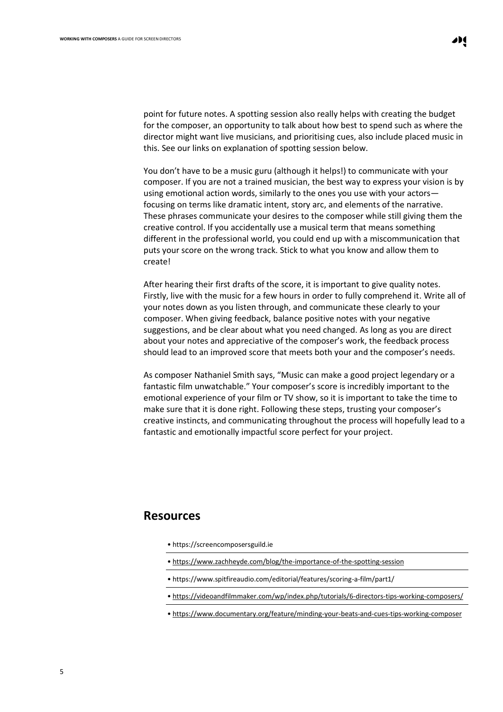point for future notes. A spotting session also really helps with creating the budget for the composer, an opportunity to talk about how best to spend such as where the director might want live musicians, and prioritising cues, also include placed music in this. See our links on explanation of spotting session below.

You don't have to be a music guru (although it helps!) to communicate with your composer. If you are not a trained musician, the best way to express your vision is by using emotional action words, similarly to the ones you use with your actors focusing on terms like dramatic intent, story arc, and elements of the narrative. These phrases communicate your desires to the composer while still giving them the creative control. If you accidentally use a musical term that means something different in the professional world, you could end up with a miscommunication that puts your score on the wrong track. Stick to what you know and allow them to create!

After hearing their first drafts of the score, it is important to give quality notes. Firstly, live with the music for a few hours in order to fully comprehend it. Write all of your notes down as you listen through, and communicate these clearly to your composer. When giving feedback, balance positive notes with your negative suggestions, and be clear about what you need changed. As long as you are direct about your notes and appreciative of the composer's work, the feedback process should lead to an improved score that meets both your and the composer's needs.

As composer Nathaniel Smith says, "Music can make a good project legendary or a fantastic film unwatchable." Your composer's score is incredibly important to the emotional experience of your film or TV show, so it is important to take the time to make sure that it is done right. Following these steps, trusting your composer's creative instincts, and communicating throughout the process will hopefully lead to a fantastic and emotionally impactful score perfect for your project.

#### **Resources**

- https://screencomposersguild.ie
- <https://www.zachheyde.com/blog/the-importance-of-the-spotting-session>
- https://www.spitfireaudio.com/editorial/features/scoring-a-film/part1/
- <https://videoandfilmmaker.com/wp/index.php/tutorials/6-directors-tips-working-composers/>
- <https://www.documentary.org/feature/minding-your-beats-and-cues-tips-working-composer>